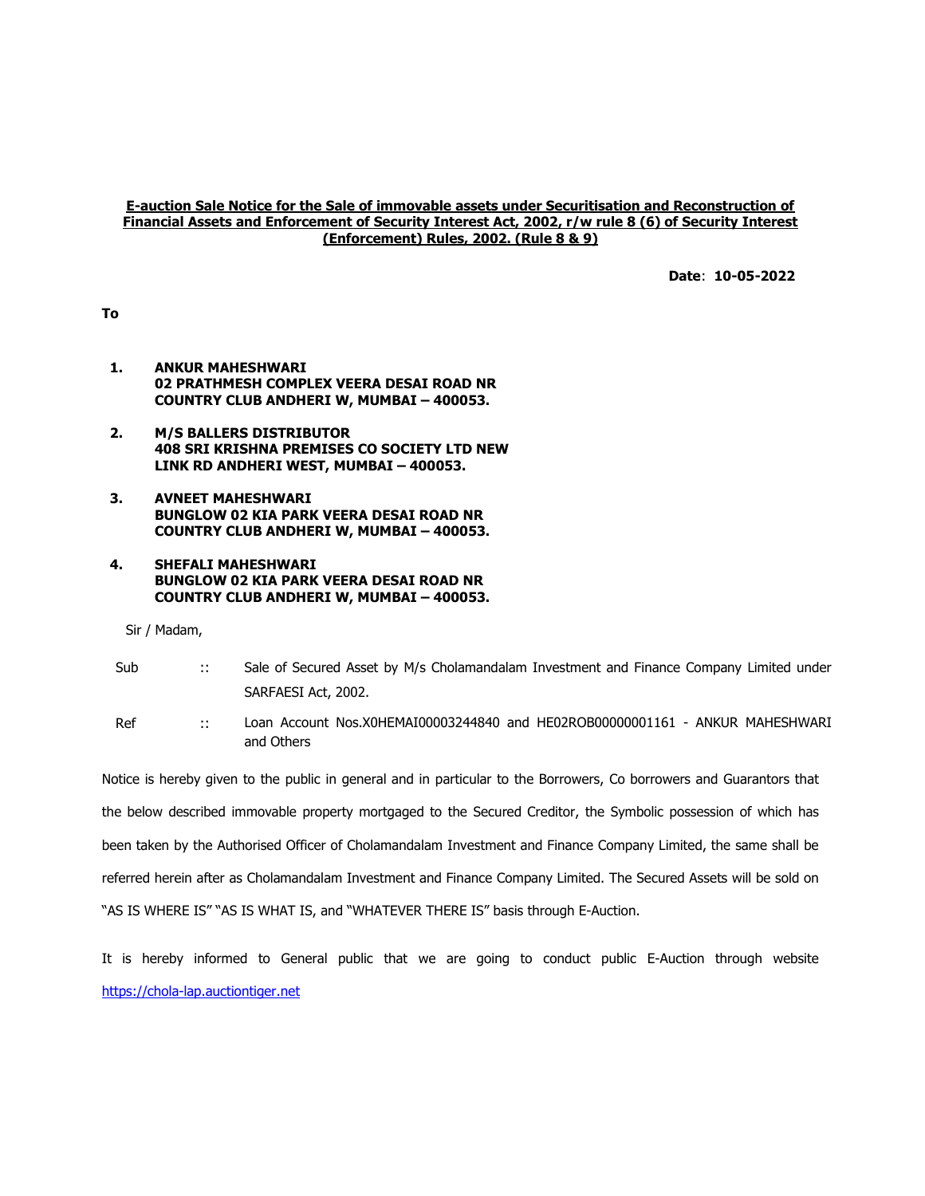## E-auction Sale Notice for the Sale of immovable assets under Securitisation and Reconstruction of Financial Assets and Enforcement of Security Interest Act, 2002, r/w rule 8 (6) of Security Interest (Enforcement) Rules, 2002. (Rule 8 & 9)

Date: 10-05-2022

To

- 1. ANKUR MAHESHWARI 02 PRATHMESH COMPLEX VEERA DESAI ROAD NR COUNTRY CLUB ANDHERI W, MUMBAI – 400053.
- 2. M/S BALLERS DISTRIBUTOR 408 SRI KRISHNA PREMISES CO SOCIETY LTD NEW LINK RD ANDHERI WEST, MUMBAI – 400053.
- 3. AVNEET MAHESHWARI BUNGLOW 02 KIA PARK VEERA DESAI ROAD NR COUNTRY CLUB ANDHERI W, MUMBAI – 400053.
- 4. SHEFALI MAHESHWARI BUNGLOW 02 KIA PARK VEERA DESAI ROAD NR COUNTRY CLUB ANDHERI W, MUMBAI – 400053.

Sir / Madam,

- Sub :: Sale of Secured Asset by M/s Cholamandalam Investment and Finance Company Limited under SARFAESI Act, 2002.
- Ref :: Loan Account Nos.X0HEMAI00003244840 and HE02ROB00000001161 ANKUR MAHESHWARI and Others

Notice is hereby given to the public in general and in particular to the Borrowers, Co borrowers and Guarantors that the below described immovable property mortgaged to the Secured Creditor, the Symbolic possession of which has been taken by the Authorised Officer of Cholamandalam Investment and Finance Company Limited, the same shall be referred herein after as Cholamandalam Investment and Finance Company Limited. The Secured Assets will be sold on "AS IS WHERE IS" "AS IS WHAT IS, and "WHATEVER THERE IS" basis through E-Auction.

It is hereby informed to General public that we are going to conduct public E-Auction through website https://chola-lap.auctiontiger.net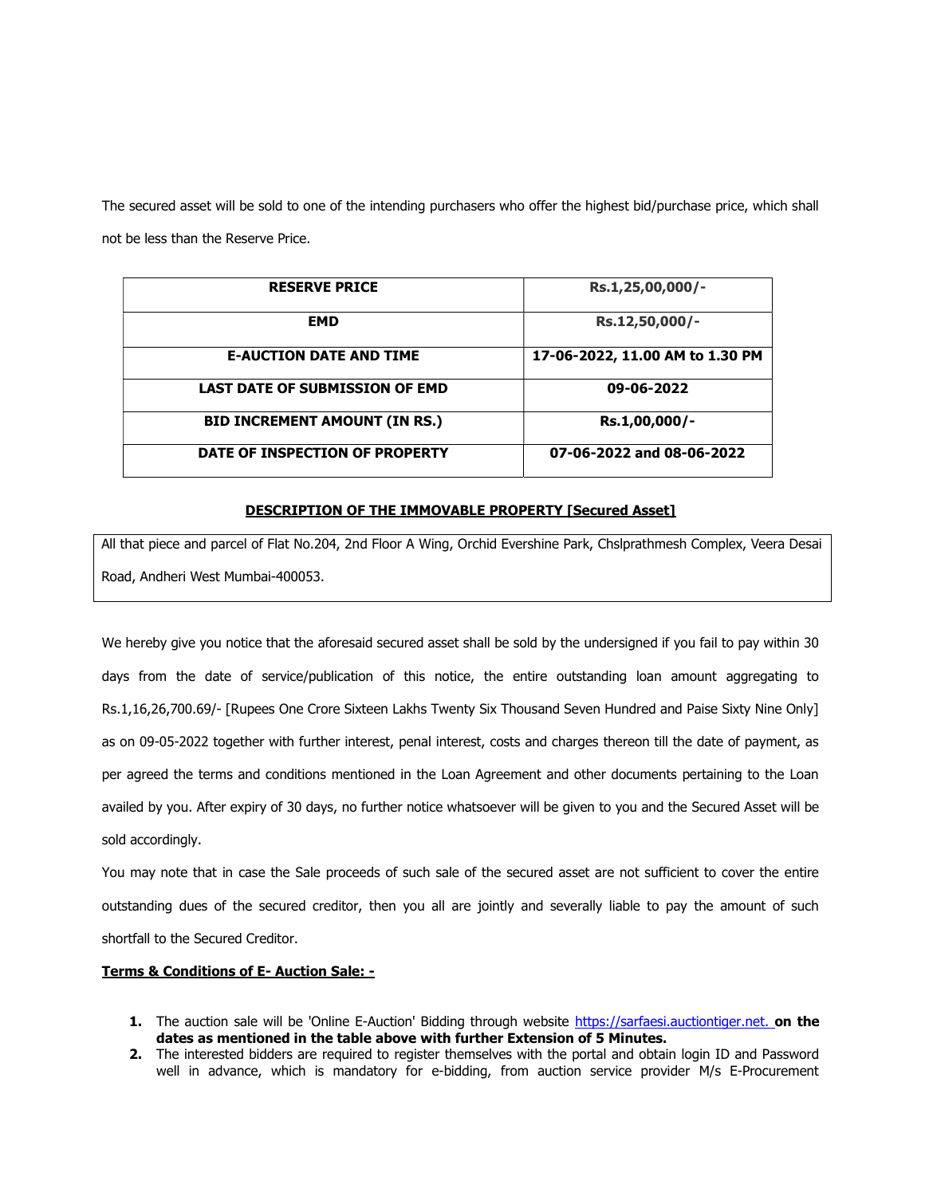The secured asset will be sold to one of the intending purchasers who offer the highest bid/purchase price, which shall not be less than the Reserve Price.

| <b>RESERVE PRICE</b>                  | Rs.1,25,00,000/-                |
|---------------------------------------|---------------------------------|
| <b>EMD</b>                            | Rs.12,50,000/-                  |
| <b>E-AUCTION DATE AND TIME</b>        | 17-06-2022, 11.00 AM to 1.30 PM |
| <b>LAST DATE OF SUBMISSION OF EMD</b> | 09-06-2022                      |
| <b>BID INCREMENT AMOUNT (IN RS.)</b>  | Rs.1,00,000/-                   |
| DATE OF INSPECTION OF PROPERTY        | 07-06-2022 and 08-06-2022       |

## DESCRIPTION OF THE IMMOVABLE PROPERTY [Secured Asset]

All that piece and parcel of Flat No.204, 2nd Floor A Wing, Orchid Evershine Park, Chslprathmesh Complex, Veera Desai Road, Andheri West Mumbai-400053.

We hereby give you notice that the aforesaid secured asset shall be sold by the undersigned if you fail to pay within 30 days from the date of service/publication of this notice, the entire outstanding loan amount aggregating to Rs.1,16,26,700.69/- [Rupees One Crore Sixteen Lakhs Twenty Six Thousand Seven Hundred and Paise Sixty Nine Only] as on 09-05-2022 together with further interest, penal interest, costs and charges thereon till the date of payment, as per agreed the terms and conditions mentioned in the Loan Agreement and other documents pertaining to the Loan availed by you. After expiry of 30 days, no further notice whatsoever will be given to you and the Secured Asset will be sold accordingly.

You may note that in case the Sale proceeds of such sale of the secured asset are not sufficient to cover the entire outstanding dues of the secured creditor, then you all are jointly and severally liable to pay the amount of such shortfall to the Secured Creditor.

## Terms & Conditions of E- Auction Sale: -

- 1. The auction sale will be 'Online E-Auction' Bidding through website https://sarfaesi.auctiontiger.net. on the dates as mentioned in the table above with further Extension of 5 Minutes.
- 2. The interested bidders are required to register themselves with the portal and obtain login ID and Password well in advance, which is mandatory for e-bidding, from auction service provider M/s E-Procurement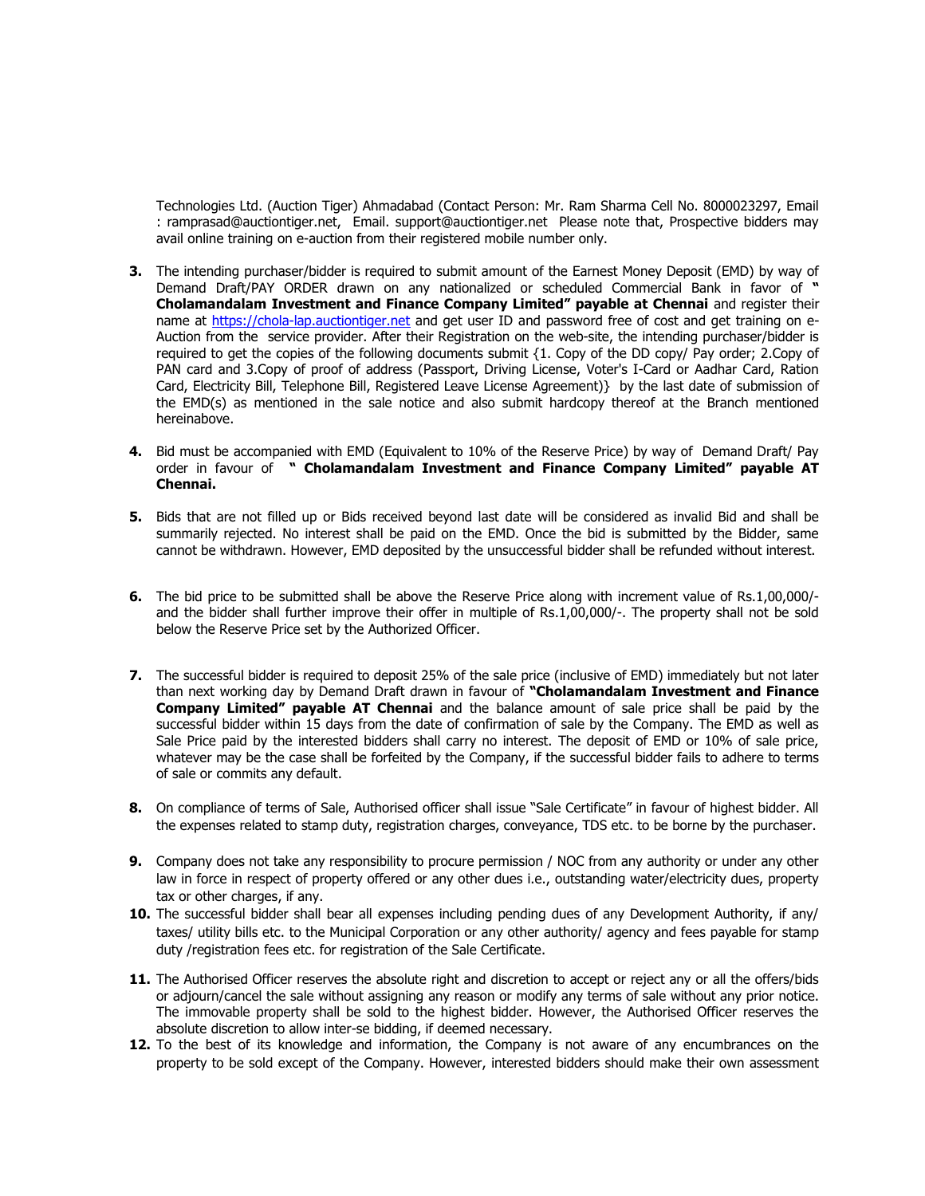Technologies Ltd. (Auction Tiger) Ahmadabad (Contact Person: Mr. Ram Sharma Cell No. 8000023297, Email : ramprasad@auctiontiger.net, Email. support@auctiontiger.net Please note that, Prospective bidders may avail online training on e-auction from their registered mobile number only.

- **3.** The intending purchaser/bidder is required to submit amount of the Earnest Money Deposit (EMD) by way of Demand Draft/PAY ORDER drawn on any nationalized or scheduled Commercial Bank in favor of " Cholamandalam Investment and Finance Company Limited" payable at Chennai and register their name at https://chola-lap.auctiontiger.net and get user ID and password free of cost and get training on e-Auction from the service provider. After their Registration on the web-site, the intending purchaser/bidder is required to get the copies of the following documents submit {1. Copy of the DD copy/ Pay order; 2.Copy of PAN card and 3.Copy of proof of address (Passport, Driving License, Voter's I-Card or Aadhar Card, Ration Card, Electricity Bill, Telephone Bill, Registered Leave License Agreement)} by the last date of submission of the EMD(s) as mentioned in the sale notice and also submit hardcopy thereof at the Branch mentioned hereinabove.
- 4. Bid must be accompanied with EMD (Equivalent to 10% of the Reserve Price) by way of Demand Draft/ Pay order in favour of " Cholamandalam Investment and Finance Company Limited" payable AT Chennai.
- 5. Bids that are not filled up or Bids received beyond last date will be considered as invalid Bid and shall be summarily rejected. No interest shall be paid on the EMD. Once the bid is submitted by the Bidder, same cannot be withdrawn. However, EMD deposited by the unsuccessful bidder shall be refunded without interest.
- 6. The bid price to be submitted shall be above the Reserve Price along with increment value of Rs.1,00,000/ and the bidder shall further improve their offer in multiple of Rs.1,00,000/-. The property shall not be sold below the Reserve Price set by the Authorized Officer.
- 7. The successful bidder is required to deposit 25% of the sale price (inclusive of EMD) immediately but not later than next working day by Demand Draft drawn in favour of "Cholamandalam Investment and Finance Company Limited" payable AT Chennai and the balance amount of sale price shall be paid by the successful bidder within 15 days from the date of confirmation of sale by the Company. The EMD as well as Sale Price paid by the interested bidders shall carry no interest. The deposit of EMD or 10% of sale price, whatever may be the case shall be forfeited by the Company, if the successful bidder fails to adhere to terms of sale or commits any default.
- 8. On compliance of terms of Sale, Authorised officer shall issue "Sale Certificate" in favour of highest bidder. All the expenses related to stamp duty, registration charges, conveyance, TDS etc. to be borne by the purchaser.
- 9. Company does not take any responsibility to procure permission / NOC from any authority or under any other law in force in respect of property offered or any other dues i.e., outstanding water/electricity dues, property tax or other charges, if any.
- 10. The successful bidder shall bear all expenses including pending dues of any Development Authority, if any/ taxes/ utility bills etc. to the Municipal Corporation or any other authority/ agency and fees payable for stamp duty /registration fees etc. for registration of the Sale Certificate.
- 11. The Authorised Officer reserves the absolute right and discretion to accept or reject any or all the offers/bids or adjourn/cancel the sale without assigning any reason or modify any terms of sale without any prior notice. The immovable property shall be sold to the highest bidder. However, the Authorised Officer reserves the absolute discretion to allow inter-se bidding, if deemed necessary.
- 12. To the best of its knowledge and information, the Company is not aware of any encumbrances on the property to be sold except of the Company. However, interested bidders should make their own assessment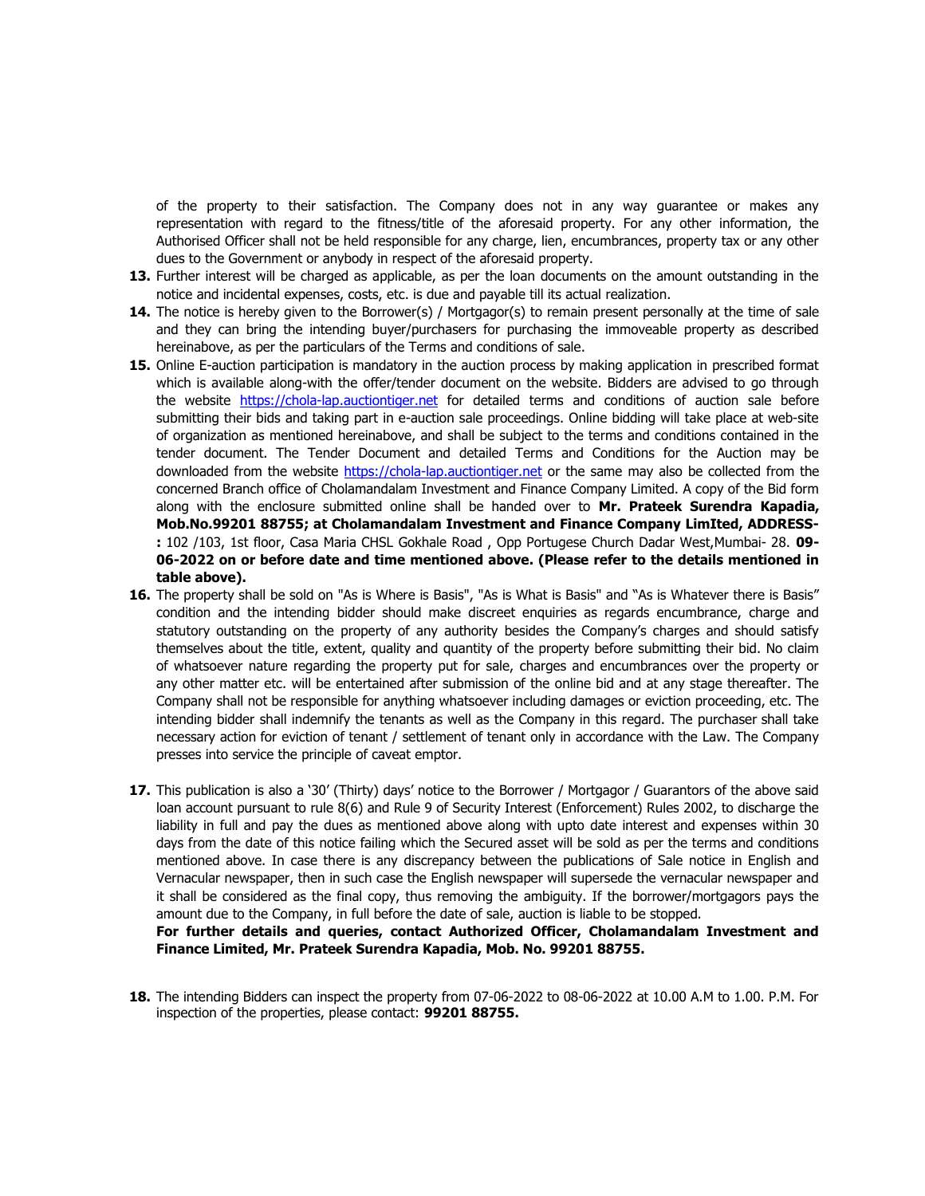of the property to their satisfaction. The Company does not in any way guarantee or makes any representation with regard to the fitness/title of the aforesaid property. For any other information, the Authorised Officer shall not be held responsible for any charge, lien, encumbrances, property tax or any other dues to the Government or anybody in respect of the aforesaid property.

- 13. Further interest will be charged as applicable, as per the loan documents on the amount outstanding in the notice and incidental expenses, costs, etc. is due and payable till its actual realization.
- 14. The notice is hereby given to the Borrower(s) / Mortgagor(s) to remain present personally at the time of sale and they can bring the intending buyer/purchasers for purchasing the immoveable property as described hereinabove, as per the particulars of the Terms and conditions of sale.
- 15. Online E-auction participation is mandatory in the auction process by making application in prescribed format which is available along-with the offer/tender document on the website. Bidders are advised to go through the website https://chola-lap.auctiontiger.net for detailed terms and conditions of auction sale before submitting their bids and taking part in e-auction sale proceedings. Online bidding will take place at web-site of organization as mentioned hereinabove, and shall be subject to the terms and conditions contained in the tender document. The Tender Document and detailed Terms and Conditions for the Auction may be downloaded from the website https://chola-lap.auctiontiger.net or the same may also be collected from the concerned Branch office of Cholamandalam Investment and Finance Company Limited. A copy of the Bid form along with the enclosure submitted online shall be handed over to Mr. Prateek Surendra Kapadia, Mob.No.99201 88755; at Cholamandalam Investment and Finance Company LimIted, ADDRESS- : 102 /103, 1st floor, Casa Maria CHSL Gokhale Road, Opp Portugese Church Dadar West,Mumbai- 28, 09-06-2022 on or before date and time mentioned above. (Please refer to the details mentioned in table above).
- 16. The property shall be sold on "As is Where is Basis", "As is What is Basis" and "As is Whatever there is Basis" condition and the intending bidder should make discreet enquiries as regards encumbrance, charge and statutory outstanding on the property of any authority besides the Company's charges and should satisfy themselves about the title, extent, quality and quantity of the property before submitting their bid. No claim of whatsoever nature regarding the property put for sale, charges and encumbrances over the property or any other matter etc. will be entertained after submission of the online bid and at any stage thereafter. The Company shall not be responsible for anything whatsoever including damages or eviction proceeding, etc. The intending bidder shall indemnify the tenants as well as the Company in this regard. The purchaser shall take necessary action for eviction of tenant / settlement of tenant only in accordance with the Law. The Company presses into service the principle of caveat emptor.
- 17. This publication is also a '30' (Thirty) days' notice to the Borrower / Mortgagor / Guarantors of the above said loan account pursuant to rule 8(6) and Rule 9 of Security Interest (Enforcement) Rules 2002, to discharge the liability in full and pay the dues as mentioned above along with upto date interest and expenses within 30 days from the date of this notice failing which the Secured asset will be sold as per the terms and conditions mentioned above. In case there is any discrepancy between the publications of Sale notice in English and Vernacular newspaper, then in such case the English newspaper will supersede the vernacular newspaper and it shall be considered as the final copy, thus removing the ambiguity. If the borrower/mortgagors pays the amount due to the Company, in full before the date of sale, auction is liable to be stopped.

For further details and queries, contact Authorized Officer, Cholamandalam Investment and Finance Limited, Mr. Prateek Surendra Kapadia, Mob. No. 99201 88755.

18. The intending Bidders can inspect the property from 07-06-2022 to 08-06-2022 at 10.00 A.M to 1.00. P.M. For inspection of the properties, please contact: 99201 88755.